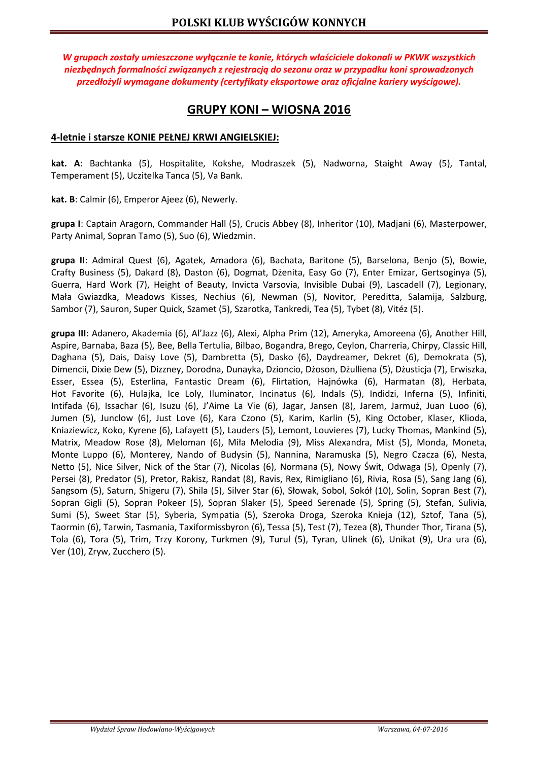*W grupach zostały umieszczone wyłącznie te konie, których właściciele dokonali w PKWK wszystkich niezbędnych formalności związanych z rejestracją do sezonu oraz w przypadku koni sprowadzonych przedłożyli wymagane dokumenty (certyfikaty eksportowe oraz oficjalne kariery wyścigowe).* 

# **GRUPY KONI – WIOSNA 2016**

## **4-letnie i starsze KONIE PEŁNEJ KRWI ANGIELSKIEJ:**

**kat. A**: Bachtanka (5), Hospitalite, Kokshe, Modraszek (5), Nadworna, Staight Away (5), Tantal, Temperament (5), Uczitelka Tanca (5), Va Bank.

**kat. B**: Calmir (6), Emperor Ajeez (6), Newerly.

**grupa I**: Captain Aragorn, Commander Hall (5), Crucis Abbey (8), Inheritor (10), Madjani (6), Masterpower, Party Animal, Sopran Tamo (5), Suo (6), Wiedzmin.

**grupa II**: Admiral Quest (6), Agatek, Amadora (6), Bachata, Baritone (5), Barselona, Benjo (5), Bowie, Crafty Business (5), Dakard (8), Daston (6), Dogmat, Dżenita, Easy Go (7), Enter Emizar, Gertsoginya (5), Guerra, Hard Work (7), Height of Beauty, Invicta Varsovia, Invisible Dubai (9), Lascadell (7), Legionary, Mała Gwiazdka, Meadows Kisses, Nechius (6), Newman (5), Novitor, Pereditta, Salamija, Salzburg, Sambor (7), Sauron, Super Quick, Szamet (5), Szarotka, Tankredi, Tea (5), Tybet (8), Vitéz (5).

**grupa III**: Adanero, Akademia (6), Al'Jazz (6), Alexi, Alpha Prim (12), Ameryka, Amoreena (6), Another Hill, Aspire, Barnaba, Baza (5), Bee, Bella Tertulia, Bilbao, Bogandra, Brego, Ceylon, Charreria, Chirpy, Classic Hill, Daghana (5), Dais, Daisy Love (5), Dambretta (5), Dasko (6), Daydreamer, Dekret (6), Demokrata (5), Dimencii, Dixie Dew (5), Dizzney, Dorodna, Dunayka, Dzioncio, Dżoson, Dżulliena (5), Dżusticja (7), Erwiszka, Esser, Essea (5), Esterlina, Fantastic Dream (6), Flirtation, Hajnówka (6), Harmatan (8), Herbata, Hot Favorite (6), Hulajka, Ice Loly, Iluminator, Incinatus (6), Indals (5), Indidzi, Inferna (5), Infiniti, Intifada (6), Issachar (6), Isuzu (6), J'Aime La Vie (6), Jagar, Jansen (8), Jarem, Jarmuż, Juan Luoo (6), Jumen (5), Junclow (6), Just Love (6), Kara Czono (5), Karim, Karlin (5), King October, Klaser, Klioda, Kniaziewicz, Koko, Kyrene (6), Lafayett (5), Lauders (5), Lemont, Louvieres (7), Lucky Thomas, Mankind (5), Matrix, Meadow Rose (8), Meloman (6), Miła Melodia (9), Miss Alexandra, Mist (5), Monda, Moneta, Monte Luppo (6), Monterey, Nando of Budysin (5), Nannina, Naramuska (5), Negro Czacza (6), Nesta, Netto (5), Nice Silver, Nick of the Star (7), Nicolas (6), Normana (5), Nowy Świt, Odwaga (5), Openly (7), Persei (8), Predator (5), Pretor, Rakisz, Randat (8), Ravis, Rex, Rimigliano (6), Rivia, Rosa (5), Sang Jang (6), Sangsom (5), Saturn, Shigeru (7), Shila (5), Silver Star (6), Słowak, Sobol, Sokół (10), Solin, Sopran Best (7), Sopran Gigli (5), Sopran Pokeer (5), Sopran Slaker (5), Speed Serenade (5), Spring (5), Stefan, Sulivia, Sumi (5), Sweet Star (5), Syberia, Sympatia (5), Szeroka Droga, Szeroka Knieja (12), Sztof, Tana (5), Taormin (6), Tarwin, Tasmania, Taxiformissbyron (6), Tessa (5), Test (7), Tezea (8), Thunder Thor, Tirana (5), Tola (6), Tora (5), Trim, Trzy Korony, Turkmen (9), Turul (5), Tyran, Ulinek (6), Unikat (9), Ura ura (6), Ver (10), Zryw, Zucchero (5).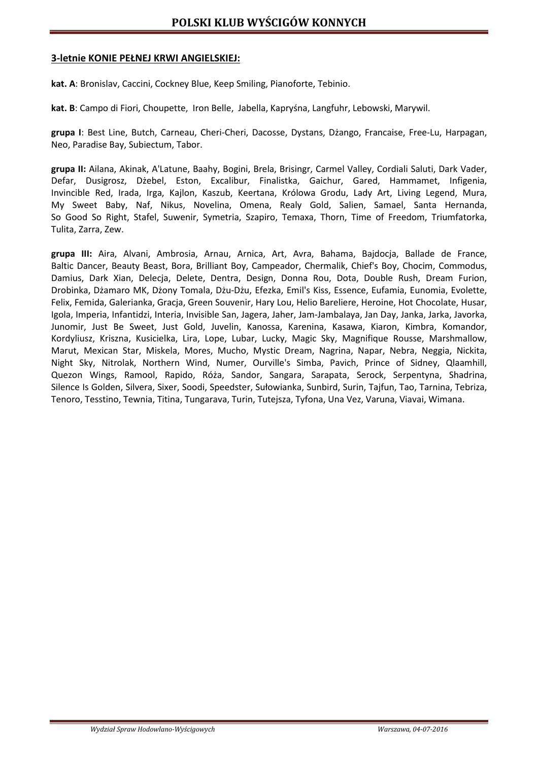#### **3-letnie KONIE PEŁNEJ KRWI ANGIELSKIEJ:**

**kat. A**: Bronislav, Caccini, Cockney Blue, Keep Smiling, Pianoforte, Tebinio.

**kat. B**: Campo di Fiori, Choupette, Iron Belle, Jabella, Kapryśna, Langfuhr, Lebowski, Marywil.

**grupa I**: Best Line, Butch, Carneau, Cheri-Cheri, Dacosse, Dystans, Dżango, Francaise, Free-Lu, Harpagan, Neo, Paradise Bay, Subiectum, Tabor.

**grupa II:** Ailana, Akinak, A'Latune, Baahy, Bogini, Brela, Brisingr, Carmel Valley, Cordiali Saluti, Dark Vader, Defar, Dusigrosz, Dżebel, Eston, Excalibur, Finalistka, Gaichur, Gared, Hammamet, Infigenia, Invincible Red, Irada, Irga, Kajlon, Kaszub, Keertana, Królowa Grodu, Lady Art, Living Legend, Mura, My Sweet Baby, Naf, Nikus, Novelina, Omena, Realy Gold, Salien, Samael, Santa Hernanda, So Good So Right, Stafel, Suwenir, Symetria, Szapiro, Temaxa, Thorn, Time of Freedom, Triumfatorka, Tulita, Zarra, Zew.

**grupa III:** Aira, Alvani, Ambrosia, Arnau, Arnica, Art, Avra, Bahama, Bajdocja, Ballade de France, Baltic Dancer, Beauty Beast, Bora, Brilliant Boy, Campeador, Chermalik, Chief's Boy, Chocim, Commodus, Damius, Dark Xian, Delecja, Delete, Dentra, Design, Donna Rou, Dota, Double Rush, Dream Furion, Drobinka, Dżamaro MK, Dżony Tomala, Dżu-Dżu, Efezka, Emil's Kiss, Essence, Eufamia, Eunomia, Evolette, Felix, Femida, Galerianka, Gracja, Green Souvenir, Hary Lou, Helio Bareliere, Heroine, Hot Chocolate, Husar, Igola, Imperia, Infantidzi, Interia, Invisible San, Jagera, Jaher, Jam-Jambalaya, Jan Day, Janka, Jarka, Javorka, Junomir, Just Be Sweet, Just Gold, Juvelin, Kanossa, Karenina, Kasawa, Kiaron, Kimbra, Komandor, Kordyliusz, Kriszna, Kusicielka, Lira, Lope, Lubar, Lucky, Magic Sky, Magnifique Rousse, Marshmallow, Marut, Mexican Star, Miskela, Mores, Mucho, Mystic Dream, Nagrina, Napar, Nebra, Neggia, Nickita, Night Sky, Nitrolak, Northern Wind, Numer, Ourville's Simba, Pavich, Prince of Sidney, Qlaamhill, Quezon Wings, Ramool, Rapido, Róża, Sandor, Sangara, Sarapata, Serock, Serpentyna, Shadrina, Silence Is Golden, Silvera, Sixer, Soodi, Speedster, Sułowianka, Sunbird, Surin, Tajfun, Tao, Tarnina, Tebriza, Tenoro, Tesstino, Tewnia, Titina, Tungarava, Turin, Tutejsza, Tyfona, Una Vez, Varuna, Viavai, Wimana.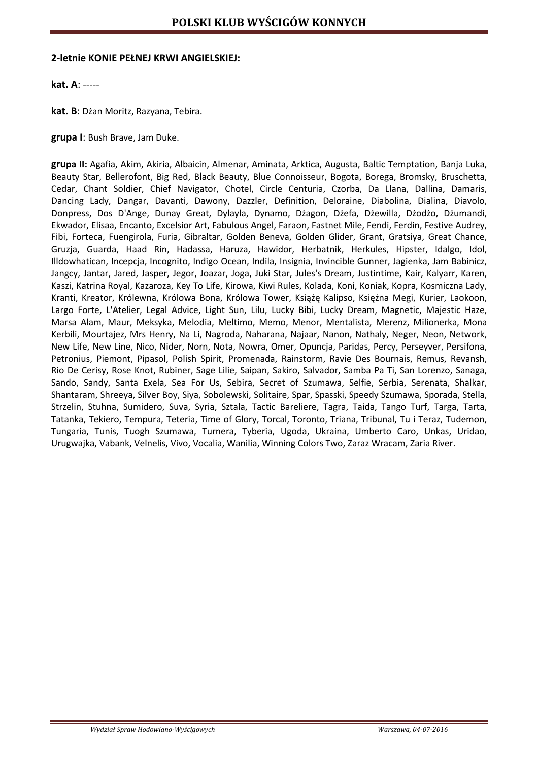#### **2-letnie KONIE PEŁNEJ KRWI ANGIELSKIEJ:**

**kat. A**: -----

**kat. B**: Dżan Moritz, Razyana, Tebira.

**grupa I**: Bush Brave, Jam Duke.

**grupa II:** Agafia, Akim, Akiria, Albaicin, Almenar, Aminata, Arktica, Augusta, Baltic Temptation, Banja Luka, Beauty Star, Bellerofont, Big Red, Black Beauty, Blue Connoisseur, Bogota, Borega, Bromsky, Bruschetta, Cedar, Chant Soldier, Chief Navigator, Chotel, Circle Centuria, Czorba, Da Llana, Dallina, Damaris, Dancing Lady, Dangar, Davanti, Dawony, Dazzler, Definition, Deloraine, Diabolina, Dialina, Diavolo, Donpress, Dos D'Ange, Dunay Great, Dylayla, Dynamo, Dżagon, Dżefa, Dżewilla, Dżodżo, Dżumandi, Ekwador, Elisaa, Encanto, Excelsior Art, Fabulous Angel, Faraon, Fastnet Mile, Fendi, Ferdin, Festive Audrey, Fibi, Forteca, Fuengirola, Furia, Gibraltar, Golden Beneva, Golden Glider, Grant, Gratsiya, Great Chance, Gruzja, Guarda, Haad Rin, Hadassa, Haruza, Hawidor, Herbatnik, Herkules, Hipster, Idalgo, Idol, Illdowhatican, Incepcja, Incognito, Indigo Ocean, Indila, Insignia, Invincible Gunner, Jagienka, Jam Babinicz, Jangcy, Jantar, Jared, Jasper, Jegor, Joazar, Joga, Juki Star, Jules's Dream, Justintime, Kair, Kalyarr, Karen, Kaszi, Katrina Royal, Kazaroza, Key To Life, Kirowa, Kiwi Rules, Kolada, Koni, Koniak, Kopra, Kosmiczna Lady, Kranti, Kreator, Królewna, Królowa Bona, Królowa Tower, Książę Kalipso, Księżna Megi, Kurier, Laokoon, Largo Forte, L'Atelier, Legal Advice, Light Sun, Lilu, Lucky Bibi, Lucky Dream, Magnetic, Majestic Haze, Marsa Alam, Maur, Meksyka, Melodia, Meltimo, Memo, Menor, Mentalista, Merenz, Milionerka, Mona Kerbili, Mourtajez, Mrs Henry, Na Li, Nagroda, Naharana, Najaar, Nanon, Nathaly, Neger, Neon, Network, New Life, New Line, Nico, Nider, Norn, Nota, Nowra, Omer, Opuncja, Paridas, Percy, Perseyver, Persifona, Petronius, Piemont, Pipasol, Polish Spirit, Promenada, Rainstorm, Ravie Des Bournais, Remus, Revansh, Rio De Cerisy, Rose Knot, Rubiner, Sage Lilie, Saipan, Sakiro, Salvador, Samba Pa Ti, San Lorenzo, Sanaga, Sando, Sandy, Santa Exela, Sea For Us, Sebira, Secret of Szumawa, Selfie, Serbia, Serenata, Shalkar, Shantaram, Shreeya, Silver Boy, Siya, Sobolewski, Solitaire, Spar, Spasski, Speedy Szumawa, Sporada, Stella, Strzelin, Stuhna, Sumidero, Suva, Syria, Sztala, Tactic Bareliere, Tagra, Taida, Tango Turf, Targa, Tarta, Tatanka, Tekiero, Tempura, Teteria, Time of Glory, Torcal, Toronto, Triana, Tribunal, Tu i Teraz, Tudemon, Tungaria, Tunis, Tuogh Szumawa, Turnera, Tyberia, Ugoda, Ukraina, Umberto Caro, Unkas, Uridao, Urugwajka, Vabank, Velnelis, Vivo, Vocalia, Wanilia, Winning Colors Two, Zaraz Wracam, Zaria River.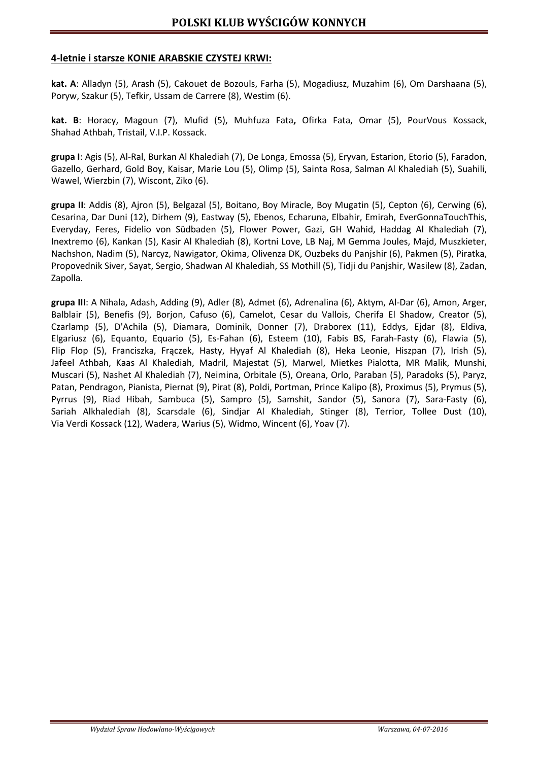## **4-letnie i starsze KONIE ARABSKIE CZYSTEJ KRWI:**

**kat. A**: Alladyn (5), Arash (5), Cakouet de Bozouls, Farha (5), Mogadiusz, Muzahim (6), Om Darshaana (5), Poryw, Szakur (5), Tefkir, Ussam de Carrere (8), Westim (6).

**kat. B**: Horacy, Magoun (7), Mufid (5), Muhfuza Fata**,** Ofirka Fata, Omar (5), PourVous Kossack, Shahad Athbah, Tristail, V.I.P. Kossack.

**grupa I**: Agis (5), Al-Ral, Burkan Al Khalediah (7), De Longa, Emossa (5), Eryvan, Estarion, Etorio (5), Faradon, Gazello, Gerhard, Gold Boy, Kaisar, Marie Lou (5), Olimp (5), Sainta Rosa, Salman Al Khalediah (5), Suahili, Wawel, Wierzbin (7), Wiscont, Ziko (6).

**grupa II**: Addis (8), Ajron (5), Belgazal (5), Boitano, Boy Miracle, Boy Mugatin (5), Cepton (6), Cerwing (6), Cesarina, Dar Duni (12), Dirhem (9), Eastway (5), Ebenos, Echaruna, Elbahir, Emirah, EverGonnaTouchThis, Everyday, Feres, Fidelio von Südbaden (5), Flower Power, Gazi, GH Wahid, Haddag Al Khalediah (7), Inextremo (6), Kankan (5), Kasir Al Khalediah (8), Kortni Love, LB Naj, M Gemma Joules, Majd, Muszkieter, Nachshon, Nadim (5), Narcyz, Nawigator, Okima, Olivenza DK, Ouzbeks du Panjshir (6), Pakmen (5), Piratka, Propovednik Siver, Sayat, Sergio, Shadwan Al Khalediah, SS Mothill (5), Tidji du Panjshir, Wasilew (8), Zadan, Zapolla.

**grupa III**: A Nihala, Adash, Adding (9), Adler (8), Admet (6), Adrenalina (6), Aktym, Al-Dar (6), Amon, Arger, Balblair (5), Benefis (9), Borjon, Cafuso (6), Camelot, Cesar du Vallois, Cherifa El Shadow, Creator (5), Czarlamp (5), D'Achila (5), Diamara, Dominik, Donner (7), Draborex (11), Eddys, Ejdar (8), Eldiva, Elgariusz (6), Equanto, Equario (5), Es-Fahan (6), Esteem (10), Fabis BS, Farah-Fasty (6), Flawia (5), Flip Flop (5), Franciszka, Frączek, Hasty, Hyyaf Al Khalediah (8), Heka Leonie, Hiszpan (7), Irish (5), Jafeel Athbah, Kaas Al Khalediah, Madril, Majestat (5), Marwel, Mietkes Pialotta, MR Malik, Munshi, Muscari (5), Nashet Al Khalediah (7), Neimina, Orbitale (5), Oreana, Orlo, Paraban (5), Paradoks (5), Paryz, Patan, Pendragon, Pianista, Piernat (9), Pirat (8), Poldi, Portman, Prince Kalipo (8), Proximus (5), Prymus (5), Pyrrus (9), Riad Hibah, Sambuca (5), Sampro (5), Samshit, Sandor (5), Sanora (7), Sara-Fasty (6), Sariah Alkhalediah (8), Scarsdale (6), Sindjar Al Khalediah, Stinger (8), Terrior, Tollee Dust (10), Via Verdi Kossack (12), Wadera, Warius (5), Widmo, Wincent (6), Yoav (7).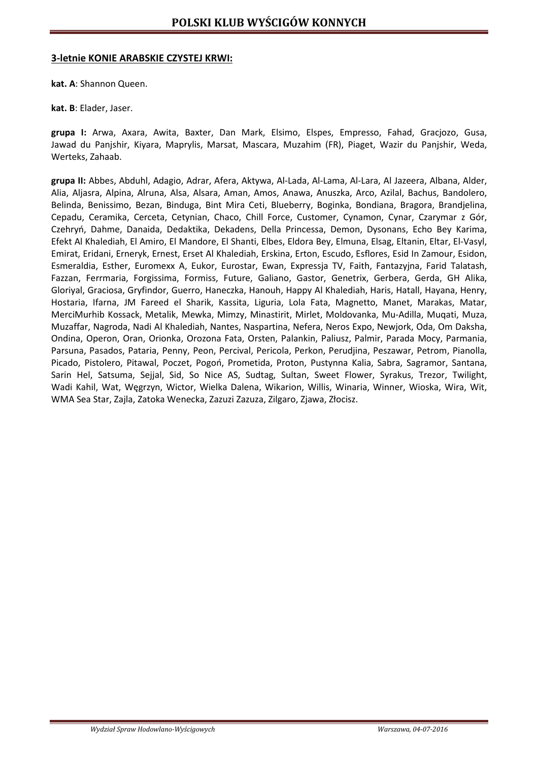#### **3-letnie KONIE ARABSKIE CZYSTEJ KRWI:**

**kat. A**: Shannon Queen.

**kat. B**: Elader, Jaser.

**grupa I:** Arwa, Axara, Awita, Baxter, Dan Mark, Elsimo, Elspes, Empresso, Fahad, Gracjozo, Gusa, Jawad du Panjshir, Kiyara, Maprylis, Marsat, Mascara, Muzahim (FR), Piaget, Wazir du Panjshir, Weda, Werteks, Zahaab.

**grupa II:** Abbes, Abduhl, Adagio, Adrar, Afera, Aktywa, Al-Lada, Al-Lama, Al-Lara, Al Jazeera, Albana, Alder, Alia, Aljasra, Alpina, Alruna, Alsa, Alsara, Aman, Amos, Anawa, Anuszka, Arco, Azilal, Bachus, Bandolero, Belinda, Benissimo, Bezan, Binduga, Bint Mira Ceti, Blueberry, Boginka, Bondiana, Bragora, Brandjelina, Cepadu, Ceramika, Cerceta, Cetynian, Chaco, Chill Force, Customer, Cynamon, Cynar, Czarymar z Gór, Czehryń, Dahme, Danaida, Dedaktika, Dekadens, Della Princessa, Demon, Dysonans, Echo Bey Karima, Efekt Al Khalediah, El Amiro, El Mandore, El Shanti, Elbes, Eldora Bey, Elmuna, Elsag, Eltanin, Eltar, El-Vasyl, Emirat, Eridani, Erneryk, Ernest, Erset Al Khalediah, Erskina, Erton, Escudo, Esflores, Esid In Zamour, Esidon, Esmeraldia, Esther, Euromexx A, Eukor, Eurostar, Ewan, Expressja TV, Faith, Fantazyjna, Farid Talatash, Fazzan, Ferrmaria, Forgissima, Formiss, Future, Galiano, Gastor, Genetrix, Gerbera, Gerda, GH Alika, Gloriyal, Graciosa, Gryfindor, Guerro, Haneczka, Hanouh, Happy Al Khalediah, Haris, Hatall, Hayana, Henry, Hostaria, Ifarna, JM Fareed el Sharik, Kassita, Liguria, Lola Fata, Magnetto, Manet, Marakas, Matar, MerciMurhib Kossack, Metalik, Mewka, Mimzy, Minastirit, Mirlet, Moldovanka, Mu-Adilla, Muqati, Muza, Muzaffar, Nagroda, Nadi Al Khalediah, Nantes, Naspartina, Nefera, Neros Expo, Newjork, Oda, Om Daksha, Ondina, Operon, Oran, Orionka, Orozona Fata, Orsten, Palankin, Paliusz, Palmir, Parada Mocy, Parmania, Parsuna, Pasados, Pataria, Penny, Peon, Percival, Pericola, Perkon, Perudjina, Peszawar, Petrom, Pianolla, Picado, Pistolero, Pitawal, Poczet, Pogoń, Prometida, Proton, Pustynna Kalia, Sabra, Sagramor, Santana, Sarin Hel, Satsuma, Sejjal, Sid, So Nice AS, Sudtag, Sultan, Sweet Flower, Syrakus, Trezor, Twilight, Wadi Kahil, Wat, Węgrzyn, Wictor, Wielka Dalena, Wikarion, Willis, Winaria, Winner, Wioska, Wira, Wit, WMA Sea Star, Zajla, Zatoka Wenecka, Zazuzi Zazuza, Zilgaro, Zjawa, Złocisz.